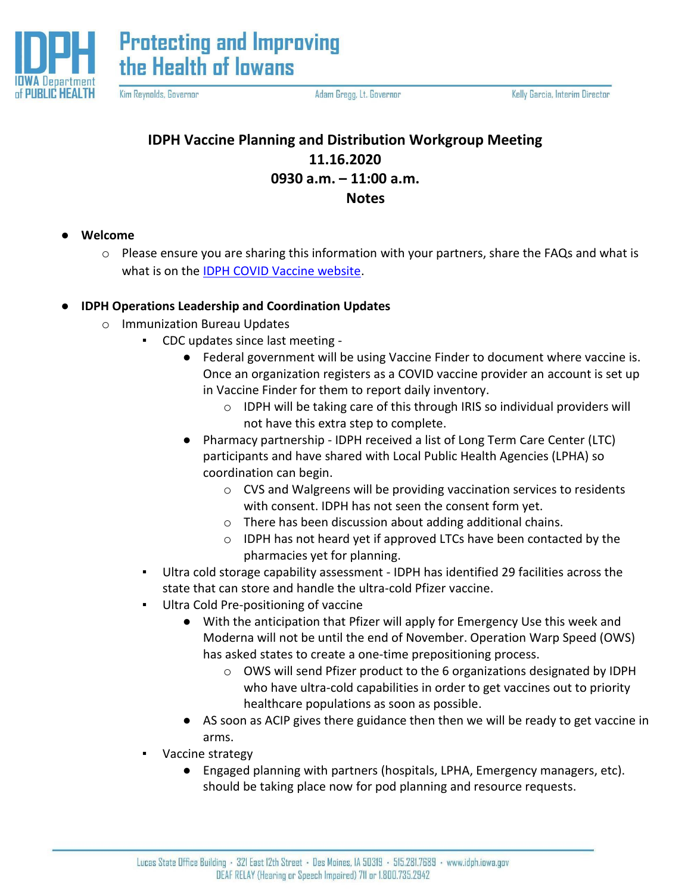

**Protecting and Improving** the Health of lowans

Kim Reynolds, Governor

Adam Gregg, Lt. Governor

Kelly Garcia, Interim Director

# **IDPH Vaccine Planning and Distribution Workgroup Meeting 11.16.2020 0930 a.m. – 11:00 a.m. Notes**

- **Welcome** 
	- $\circ$  Please ensure you are sharing this information with your partners, share the FAQs and what is what is on the [IDPH COVID Vaccine website.](https://idph.iowa.gov/Emerging-Health-Issues/Novel-Coronavirus/Vaccine)

## ● **IDPH Operations Leadership and Coordination Updates**

- o Immunization Bureau Updates
	- CDC updates since last meeting
		- Federal government will be using Vaccine Finder to document where vaccine is. Once an organization registers as a COVID vaccine provider an account is set up in Vaccine Finder for them to report daily inventory.
			- o IDPH will be taking care of this through IRIS so individual providers will not have this extra step to complete.
		- Pharmacy partnership IDPH received a list of Long Term Care Center (LTC) participants and have shared with Local Public Health Agencies (LPHA) so coordination can begin.
			- o CVS and Walgreens will be providing vaccination services to residents with consent. IDPH has not seen the consent form yet.
			- o There has been discussion about adding additional chains.
			- o IDPH has not heard yet if approved LTCs have been contacted by the pharmacies yet for planning.
	- Ultra cold storage capability assessment IDPH has identified 29 facilities across the state that can store and handle the ultra-cold Pfizer vaccine.
	- Ultra Cold Pre-positioning of vaccine
		- With the anticipation that Pfizer will apply for Emergency Use this week and Moderna will not be until the end of November. Operation Warp Speed (OWS) has asked states to create a one-time prepositioning process.
			- o OWS will send Pfizer product to the 6 organizations designated by IDPH who have ultra-cold capabilities in order to get vaccines out to priority healthcare populations as soon as possible.
		- AS soon as ACIP gives there guidance then then we will be ready to get vaccine in arms.
	- Vaccine strategy
		- Engaged planning with partners (hospitals, LPHA, Emergency managers, etc). should be taking place now for pod planning and resource requests.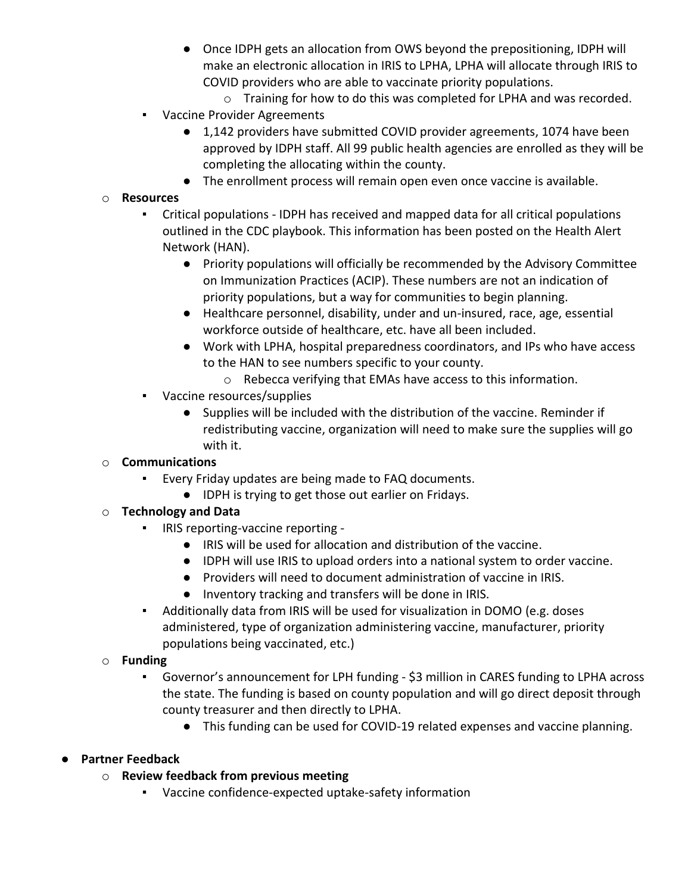- Once IDPH gets an allocation from OWS beyond the prepositioning, IDPH will make an electronic allocation in IRIS to LPHA, LPHA will allocate through IRIS to COVID providers who are able to vaccinate priority populations.
	- o Training for how to do this was completed for LPHA and was recorded.
- Vaccine Provider Agreements
	- 1,142 providers have submitted COVID provider agreements, 1074 have been approved by IDPH staff. All 99 public health agencies are enrolled as they will be completing the allocating within the county.
	- The enrollment process will remain open even once vaccine is available.

#### o **Resources**

- Critical populations IDPH has received and mapped data for all critical populations outlined in the CDC playbook. This information has been posted on the Health Alert Network (HAN).
	- Priority populations will officially be recommended by the Advisory Committee on Immunization Practices (ACIP). These numbers are not an indication of priority populations, but a way for communities to begin planning.
	- Healthcare personnel, disability, under and un-insured, race, age, essential workforce outside of healthcare, etc. have all been included.
	- Work with LPHA, hospital preparedness coordinators, and IPs who have access to the HAN to see numbers specific to your county.
		- o Rebecca verifying that EMAs have access to this information.
- Vaccine resources/supplies
	- Supplies will be included with the distribution of the vaccine. Reminder if redistributing vaccine, organization will need to make sure the supplies will go with it.

#### o **Communications**

- Every Friday updates are being made to FAQ documents.
	- IDPH is trying to get those out earlier on Fridays.

#### o **Technology and Data**

- IRIS reporting-vaccine reporting -
	- IRIS will be used for allocation and distribution of the vaccine.
	- IDPH will use IRIS to upload orders into a national system to order vaccine.
	- Providers will need to document administration of vaccine in IRIS.
	- Inventory tracking and transfers will be done in IRIS.
- Additionally data from IRIS will be used for visualization in DOMO (e.g. doses administered, type of organization administering vaccine, manufacturer, priority populations being vaccinated, etc.)

#### o **Funding**

- Governor's announcement for LPH funding \$3 million in CARES funding to LPHA across the state. The funding is based on county population and will go direct deposit through county treasurer and then directly to LPHA.
	- This funding can be used for COVID-19 related expenses and vaccine planning.

## ● **Partner Feedback**

- o **Review feedback from previous meeting**
	- Vaccine confidence-expected uptake-safety information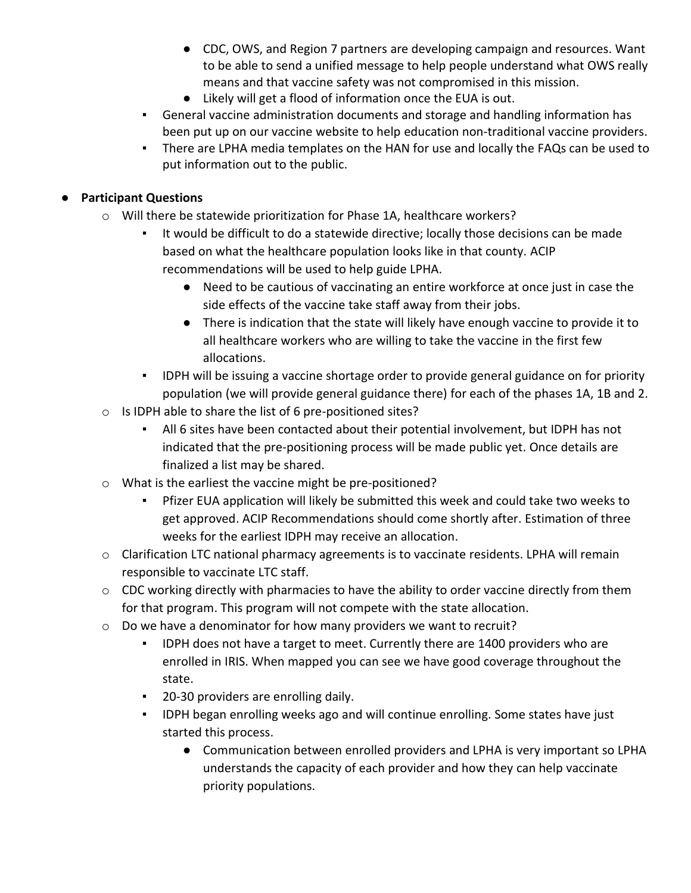- CDC, OWS, and Region 7 partners are developing campaign and resources. Want to be able to send a unified message to help people understand what OWS really means and that vaccine safety was not compromised in this mission.
- Likely will get a flood of information once the EUA is out.
- General vaccine administration documents and storage and handling information has been put up on our vaccine website to help education non-traditional vaccine providers.
- **•** There are LPHA media templates on the HAN for use and locally the FAQs can be used to put information out to the public.

### ● **Participant Questions**

- o Will there be statewide prioritization for Phase 1A, healthcare workers?
	- It would be difficult to do a statewide directive; locally those decisions can be made based on what the healthcare population looks like in that county. ACIP recommendations will be used to help guide LPHA.
		- Need to be cautious of vaccinating an entire workforce at once just in case the side effects of the vaccine take staff away from their jobs.
		- There is indication that the state will likely have enough vaccine to provide it to all healthcare workers who are willing to take the vaccine in the first few allocations.
	- IDPH will be issuing a vaccine shortage order to provide general guidance on for priority population (we will provide general guidance there) for each of the phases 1A, 1B and 2.
- o Is IDPH able to share the list of 6 pre-positioned sites?
	- All 6 sites have been contacted about their potential involvement, but IDPH has not indicated that the pre-positioning process will be made public yet. Once details are finalized a list may be shared.
- o What is the earliest the vaccine might be pre-positioned?
	- Pfizer EUA application will likely be submitted this week and could take two weeks to get approved. ACIP Recommendations should come shortly after. Estimation of three weeks for the earliest IDPH may receive an allocation.
- o Clarification LTC national pharmacy agreements is to vaccinate residents. LPHA will remain responsible to vaccinate LTC staff.
- o CDC working directly with pharmacies to have the ability to order vaccine directly from them for that program. This program will not compete with the state allocation.
- o Do we have a denominator for how many providers we want to recruit?
	- IDPH does not have a target to meet. Currently there are 1400 providers who are enrolled in IRIS. When mapped you can see we have good coverage throughout the state.
	- **•** 20-30 providers are enrolling daily.
	- IDPH began enrolling weeks ago and will continue enrolling. Some states have just started this process.
		- Communication between enrolled providers and LPHA is very important so LPHA understands the capacity of each provider and how they can help vaccinate priority populations.